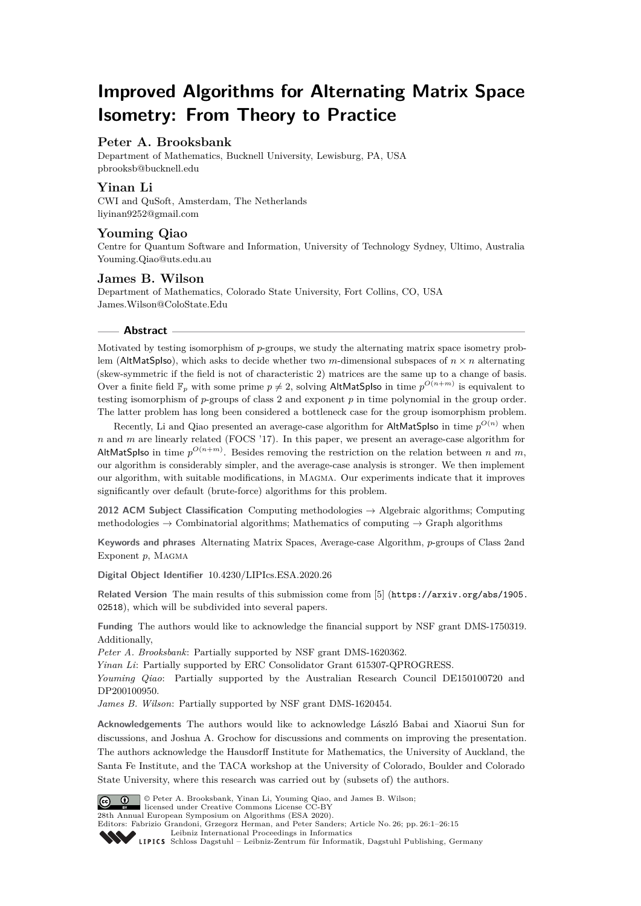# **Improved Algorithms for Alternating Matrix Space Isometry: From Theory to Practice**

## **Peter A. Brooksbank**

Department of Mathematics, Bucknell University, Lewisburg, PA, USA [pbrooksb@bucknell.edu](mailto:pbrooksb@bucknell.edu)

## **Yinan Li**

CWI and QuSoft, Amsterdam, The Netherlands [liyinan9252@gmail.com](mailto:liyinan9252@gmail.com)

## **Youming Qiao**

Centre for Quantum Software and Information, University of Technology Sydney, Ultimo, Australia [Youming.Qiao@uts.edu.au](mailto:Youming.Qiao@uts.edu.au)

## **James B. Wilson**

Department of Mathematics, Colorado State University, Fort Collins, CO, USA [James.Wilson@ColoState.Edu](mailto:James.Wilson@ColoState.Edu)

## **Abstract**

Motivated by testing isomorphism of *p*-groups, we study the alternating matrix space isometry problem (AltMatSplso), which asks to decide whether two *m*-dimensional subspaces of  $n \times n$  alternating (skew-symmetric if the field is not of characteristic 2) matrices are the same up to a change of basis. Over a finite field  $\mathbb{F}_p$  with some prime  $p \neq 2$ , solving AltMatSpIso in time  $p^{O(n+m)}$  is equivalent to testing isomorphism of *p*-groups of class 2 and exponent *p* in time polynomial in the group order. The latter problem has long been considered a bottleneck case for the group isomorphism problem.

Recently, Li and Qiao presented an average-case algorithm for AltMatSplso in time  $p^{O(n)}$  when *n* and *m* are linearly related (FOCS '17). In this paper, we present an average-case algorithm for AltMatSpIso in time  $p^{O(n+m)}$ . Besides removing the restriction on the relation between *n* and *m*, our algorithm is considerably simpler, and the average-case analysis is stronger. We then implement our algorithm, with suitable modifications, in Magma. Our experiments indicate that it improves significantly over default (brute-force) algorithms for this problem.

**2012 ACM Subject Classification** Computing methodologies → Algebraic algorithms; Computing methodologies  $\rightarrow$  Combinatorial algorithms; Mathematics of computing  $\rightarrow$  Graph algorithms

**Keywords and phrases** Alternating Matrix Spaces, Average-case Algorithm, *p*-groups of Class 2and Exponent  $p$ , MAGMA

**Digital Object Identifier** [10.4230/LIPIcs.ESA.2020.26](https://doi.org/10.4230/LIPIcs.ESA.2020.26)

Related Version The main results of this submission come from [\[5\]](#page-12-0) ([https://arxiv.org/abs/1905.](https://arxiv.org/abs/1905.02518) [02518](https://arxiv.org/abs/1905.02518)), which will be subdivided into several papers.

**Funding** The authors would like to acknowledge the financial support by NSF grant DMS-1750319. Additionally,

*Peter A. Brooksbank*: Partially supported by NSF grant DMS-1620362.

*Yinan Li*: Partially supported by ERC Consolidator Grant 615307-QPROGRESS.

*Youming Qiao*: Partially supported by the Australian Research Council DE150100720 and DP200100950.

*James B. Wilson*: Partially supported by NSF grant DMS-1620454.

**Acknowledgements** The authors would like to acknowledge László Babai and Xiaorui Sun for discussions, and Joshua A. Grochow for discussions and comments on improving the presentation. The authors acknowledge the Hausdorff Institute for Mathematics, the University of Auckland, the Santa Fe Institute, and the TACA workshop at the University of Colorado, Boulder and Colorado State University, where this research was carried out by (subsets of) the authors.



© Peter A. Brooksbank, Yinan Li, Youming Qiao, and James B. Wilson; licensed under Creative Commons License CC-BY

28th Annual European Symposium on Algorithms (ESA 2020).

Editors: Fabrizio Grandoni, Grzegorz Herman, and Peter Sanders; Article No. 26; pp. 26:1–26[:15](#page-14-0)

[Leibniz International Proceedings in Informatics](https://www.dagstuhl.de/lipics/)

Leibniz International Froceedings in Informatik, Dagstuhl Publishing, Germany<br>LIPICS [Schloss Dagstuhl – Leibniz-Zentrum für Informatik, Dagstuhl Publishing, Germany](https://www.dagstuhl.de)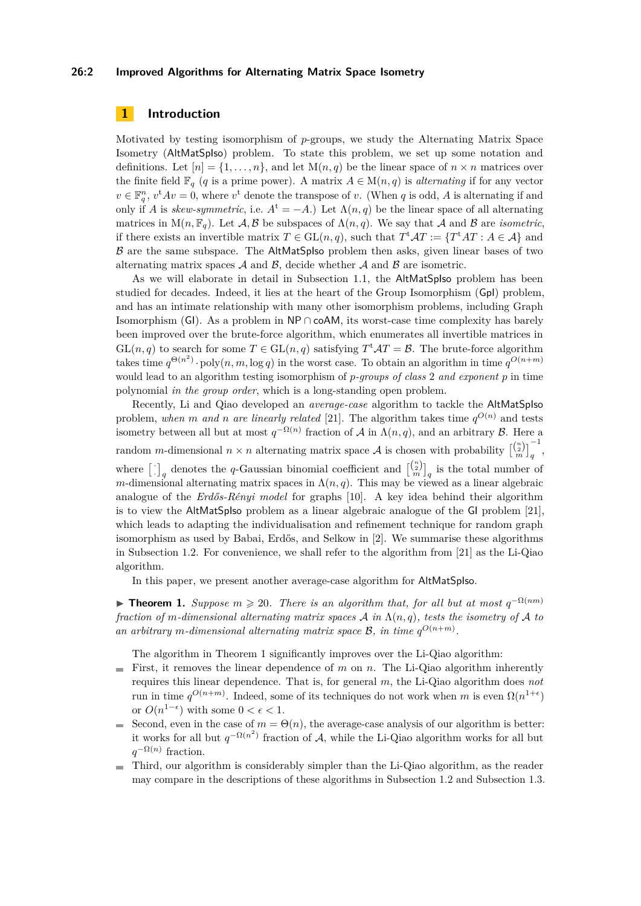## **26:2 Improved Algorithms for Alternating Matrix Space Isometry**

## <span id="page-1-1"></span>**1 Introduction**

Motivated by testing isomorphism of *p*-groups, we study the Alternating Matrix Space Isometry (AltMatSpIso) problem. To state this problem, we set up some notation and definitions. Let  $[n] = \{1, \ldots, n\}$ , and let  $M(n, q)$  be the linear space of  $n \times n$  matrices over the finite field  $\mathbb{F}_q$  (*q* is a prime power). A matrix  $A \in M(n,q)$  is *alternating* if for any vector  $v \in \mathbb{F}_q^n$ ,  $v^tAv = 0$ , where  $v^t$  denote the transpose of *v*. (When *q* is odd, *A* is alternating if and only if *A* is *skew-symmetric*, i.e.  $A^t = -A$ .) Let  $\Lambda(n,q)$  be the linear space of all alternating matrices in  $M(n, \mathbb{F}_q)$ . Let  $\mathcal{A}, \mathcal{B}$  be subspaces of  $\Lambda(n, q)$ . We say that  $\mathcal{A}$  and  $\mathcal{B}$  are *isometric*, if there exists an invertible matrix  $T \in GL(n, q)$ , such that  $T^{\mathrm{t}}AT := \{T^{\mathrm{t}}AT : A \in \mathcal{A}\}\$ and  $\beta$  are the same subspace. The AltMatSpIso problem then asks, given linear bases of two alternating matrix spaces  $A$  and  $B$ , decide whether  $A$  and  $B$  are isometric.

As we will elaborate in detail in [Subsection 1.1,](#page-2-0) the AltMatSpIso problem has been studied for decades. Indeed, it lies at the heart of the Group Isomorphism (GpI) problem, and has an intimate relationship with many other isomorphism problems, including Graph Isomorphism (GI). As a problem in  $\mathsf{NP} \cap \mathsf{coAM}$ , its worst-case time complexity has barely been improved over the brute-force algorithm, which enumerates all invertible matrices in  $GL(n, q)$  to search for some  $T \in GL(n, q)$  satisfying  $T^{\mathrm{t}}AT = \mathcal{B}$ . The brute-force algorithm takes time  $q^{\Theta(n^2)}$  · poly $(n, m, \log q)$  in the worst case. To obtain an algorithm in time  $q^{O(n+m)}$ would lead to an algorithm testing isomorphism of *p-groups of class* 2 *and exponent p* in time polynomial *in the group order*, which is a long-standing open problem.

Recently, Li and Qiao developed an *average-case* algorithm to tackle the AltMatSpIso problem, when *m* and *n* are linearly related [\[21\]](#page-13-0). The algorithm takes time  $q^{O(n)}$  and tests isometry between all but at most  $q^{-\Omega(n)}$  fraction of A in  $\Lambda(n,q)$ , and an arbitrary B. Here a random *m*-dimensional  $n \times n$  alternating matrix space A is chosen with probability  $\begin{bmatrix} {n \choose n} \\ n \end{bmatrix}_q^{-1}$ , where  $\begin{bmatrix} \cdot \end{bmatrix}_q$  denotes the *q*-Gaussian binomial coefficient and  $\begin{bmatrix} \binom{n}{n} \\ n \end{bmatrix}_q$  is the total number of *m*-dimensional alternating matrix spaces in  $\Lambda(n, q)$ . This may be viewed as a linear algebraic analogue of the *Erdős-Rényi model* for graphs [\[10\]](#page-13-1). A key idea behind their algorithm is to view the AltMatSpIso problem as a linear algebraic analogue of the GI problem [\[21\]](#page-13-0), which leads to adapting the individualisation and refinement technique for random graph isomorphism as used by Babai, Erdős, and Selkow in [\[2\]](#page-12-1). We summarise these algorithms in [Subsection 1.2.](#page-3-0) For convenience, we shall refer to the algorithm from [\[21\]](#page-13-0) as the Li-Qiao algorithm.

In this paper, we present another average-case algorithm for AltMatSpIso.

<span id="page-1-0"></span>**► Theorem 1.** Suppose  $m \ge 20$ . There is an algorithm that, for all but at most  $q^{-\Omega(nm)}$ *fraction of m-dimensional alternating matrix spaces*  $\mathcal{A}$  *in*  $\Lambda(n,q)$ *, tests the isometry of*  $\mathcal{A}$  *to* an arbitrary *m*-dimensional alternating matrix space  $\mathcal{B}$ , in time  $q^{O(n+m)}$ .

The algorithm in Theorem [1](#page-1-0) significantly improves over the Li-Qiao algorithm:

- First, it removes the linear dependence of *m* on *n*. The Li-Qiao algorithm inherently  $\sim$ requires this linear dependence. That is, for general *m*, the Li-Qiao algorithm does *not* run in time  $q^{O(n+m)}$ . Indeed, some of its techniques do not work when *m* is even  $\Omega(n^{1+\epsilon})$ or  $O(n^{1-\epsilon})$  with some  $0 < \epsilon < 1$ .
- Second, even in the case of  $m = \Theta(n)$ , the average-case analysis of our algorithm is better:  $\overline{a}$ it works for all but  $q^{-\Omega(n^2)}$  fraction of A, while the Li-Qiao algorithm works for all but  $q^{-\Omega(n)}$  fraction.
- Third, our algorithm is considerably simpler than the Li-Qiao algorithm, as the reader  $\sim$ may compare in the descriptions of these algorithms in [Subsection 1.2](#page-3-0) and [Subsection 1.3.](#page-5-0)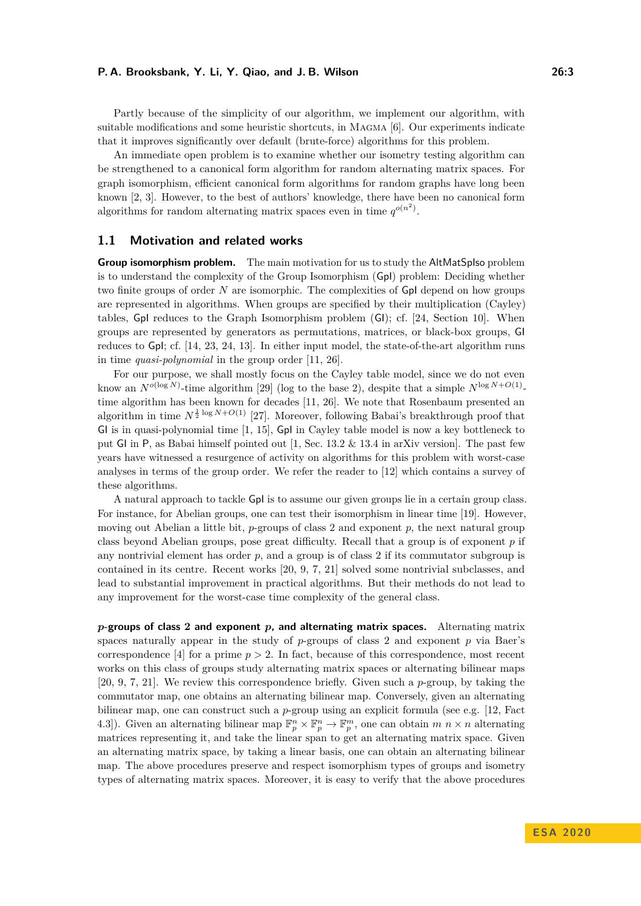Partly because of the simplicity of our algorithm, we implement our algorithm, with suitable modifications and some heuristic shortcuts, in Magma [\[6\]](#page-13-2). Our experiments indicate that it improves significantly over default (brute-force) algorithms for this problem.

An immediate open problem is to examine whether our isometry testing algorithm can be strengthened to a canonical form algorithm for random alternating matrix spaces. For graph isomorphism, efficient canonical form algorithms for random graphs have long been known [\[2,](#page-12-1) [3\]](#page-12-2). However, to the best of authors' knowledge, there have been no canonical form algorithms for random alternating matrix spaces even in time  $q^{o(n^2)}$ .

## <span id="page-2-0"></span>**1.1 Motivation and related works**

**Group isomorphism problem.** The main motivation for us to study the AltMatSpIso problem is to understand the complexity of the Group Isomorphism (GpI) problem: Deciding whether two finite groups of order *N* are isomorphic. The complexities of GpI depend on how groups are represented in algorithms. When groups are specified by their multiplication (Cayley) tables, GpI reduces to the Graph Isomorphism problem (GI); cf. [\[24,](#page-13-3) Section 10]. When groups are represented by generators as permutations, matrices, or black-box groups, GI reduces to GpI; cf. [\[14,](#page-13-4) [23,](#page-13-5) [24,](#page-13-3) [13\]](#page-13-6). In either input model, the state-of-the-art algorithm runs in time *quasi-polynomial* in the group order [\[11,](#page-13-7) [26\]](#page-14-1).

For our purpose, we shall mostly focus on the Cayley table model, since we do not even know an  $N^{o(\log N)}$ -time algorithm [\[29\]](#page-14-2) (log to the base 2), despite that a simple  $N^{\log N+O(1)}$ time algorithm has been known for decades [\[11,](#page-13-7) [26\]](#page-14-1). We note that Rosenbaum presented an algorithm in time  $N^{\frac{1}{2}\log N+O(1)}$  [\[27\]](#page-14-3). Moreover, following Babai's breakthrough proof that GI is in quasi-polynomial time [\[1,](#page-12-3) [15\]](#page-13-8), GpI in Cayley table model is now a key bottleneck to put GI in P, as Babai himself pointed out [\[1,](#page-12-3) Sec. 13.2 & 13.4 in arXiv version]. The past few years have witnessed a resurgence of activity on algorithms for this problem with worst-case analyses in terms of the group order. We refer the reader to [\[12\]](#page-13-9) which contains a survey of these algorithms.

A natural approach to tackle GpI is to assume our given groups lie in a certain group class. For instance, for Abelian groups, one can test their isomorphism in linear time [\[19\]](#page-13-10). However, moving out Abelian a little bit, *p*-groups of class 2 and exponent *p*, the next natural group class beyond Abelian groups, pose great difficulty. Recall that a group is of exponent *p* if any nontrivial element has order  $p$ , and a group is of class 2 if its commutator subgroup is contained in its centre. Recent works [\[20,](#page-13-11) [9,](#page-13-12) [7,](#page-13-13) [21\]](#page-13-0) solved some nontrivial subclasses, and lead to substantial improvement in practical algorithms. But their methods do not lead to any improvement for the worst-case time complexity of the general class.

*p***-groups of class 2 and exponent** *p***, and alternating matrix spaces.** Alternating matrix spaces naturally appear in the study of *p*-groups of class 2 and exponent *p* via Baer's correspondence [\[4\]](#page-12-4) for a prime  $p > 2$ . In fact, because of this correspondence, most recent works on this class of groups study alternating matrix spaces or alternating bilinear maps [\[20,](#page-13-11) [9,](#page-13-12) [7,](#page-13-13) [21\]](#page-13-0). We review this correspondence briefly. Given such a *p*-group, by taking the commutator map, one obtains an alternating bilinear map. Conversely, given an alternating bilinear map, one can construct such a *p*-group using an explicit formula (see e.g. [\[12,](#page-13-9) Fact 4.3]). Given an alternating bilinear map  $\mathbb{F}_p^n \times \mathbb{F}_p^n \to \mathbb{F}_p^m$ , one can obtain  $m \neq n$  alternating matrices representing it, and take the linear span to get an alternating matrix space. Given an alternating matrix space, by taking a linear basis, one can obtain an alternating bilinear map. The above procedures preserve and respect isomorphism types of groups and isometry types of alternating matrix spaces. Moreover, it is easy to verify that the above procedures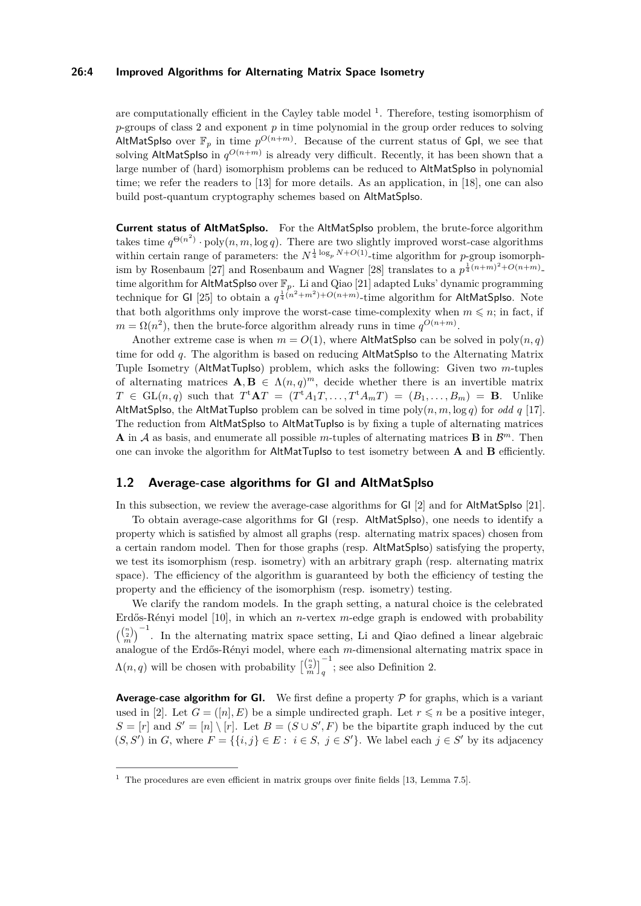## **26:4 Improved Algorithms for Alternating Matrix Space Isometry**

are computationally efficient in the Cayley table model  $^1$  $^1$ . Therefore, testing isomorphism of *p*-groups of class 2 and exponent *p* in time polynomial in the group order reduces to solving AltMatSpIso over  $\mathbb{F}_p$  in time  $p^{O(n+m)}$ . Because of the current status of GpI, we see that solving AltMatSplso in  $q^{O(n+m)}$  is already very difficult. Recently, it has been shown that a large number of (hard) isomorphism problems can be reduced to AltMatSpIso in polynomial time; we refer the readers to [\[13\]](#page-13-6) for more details. As an application, in [\[18\]](#page-13-14), one can also build post-quantum cryptography schemes based on AltMatSpIso.

**Current status of AltMatSplso.** For the AltMatSpIso problem, the brute-force algorithm takes time  $q^{\Theta(n^2)} \cdot \text{poly}(n, m, \log q)$ . There are two slightly improved worst-case algorithms within certain range of parameters: the  $N^{\frac{1}{4} \log_p N + O(1)}$ -time algorithm for *p*-group isomorph-ism by Rosenbaum [\[27\]](#page-14-3) and Rosenbaum and Wagner [\[28\]](#page-14-4) translates to a  $p^{\frac{1}{4}(n+m)^2+O(n+m)}$ . time algorithm for AltMatSpIso over F*p*. Li and Qiao [\[21\]](#page-13-0) adapted Luks' dynamic programming technique for GI [\[25\]](#page-14-5) to obtain a  $q^{\frac{1}{4}(n^2+m^2)+O(n+m)}$ -time algorithm for AltMatSpIso. Note that both algorithms only improve the worst-case time-complexity when  $m \leq n$ ; in fact, if  $m = \Omega(n^2)$ , then the brute-force algorithm already runs in time  $q^{O(n+m)}$ .

Another extreme case is when  $m = O(1)$ , where AltMatSpIso can be solved in poly $(n, q)$ time for odd *q*. The algorithm is based on reducing AltMatSpIso to the Alternating Matrix Tuple Isometry (AltMatTupIso) problem, which asks the following: Given two *m*-tuples of alternating matrices  $\mathbf{A}, \mathbf{B} \in \Lambda(n,q)^m$ , decide whether there is an invertible matrix  $T \in GL(n,q)$  such that  $T^{\mathsf{t}}AT = (T^{\mathsf{t}}A_1T, \ldots, T^{\mathsf{t}}A_mT) = (B_1, \ldots, B_m) = \mathbf{B}$ . Unlike AltMatSpIso, the AltMatTupIso problem can be solved in time poly $(n, m, \log q)$  for *odd*  $q$  [\[17\]](#page-13-15). The reduction from AltMatSpIso to AltMatTupIso is by fixing a tuple of alternating matrices **A** in A as basis, and enumerate all possible m-tuples of alternating matrices **B** in  $\mathcal{B}^m$ . Then one can invoke the algorithm for AltMatTupIso to test isometry between **A** and **B** efficiently.

## <span id="page-3-0"></span>**1.2 Average-case algorithms for GI and AltMatSplso**

In this subsection, we review the average-case algorithms for GI [\[2\]](#page-12-1) and for AltMatSpIso [\[21\]](#page-13-0).

To obtain average-case algorithms for GI (resp. AltMatSpIso), one needs to identify a property which is satisfied by almost all graphs (resp. alternating matrix spaces) chosen from a certain random model. Then for those graphs (resp. AltMatSpIso) satisfying the property, we test its isomorphism (resp. isometry) with an arbitrary graph (resp. alternating matrix space). The efficiency of the algorithm is guaranteed by both the efficiency of testing the property and the efficiency of the isomorphism (resp. isometry) testing.

We clarify the random models. In the graph setting, a natural choice is the celebrated Erdős-Rényi model [\[10\]](#page-13-1), in which an *n*-vertex *m*-edge graph is endowed with probability  $\binom{\binom{n}{2}}{n}^{-1}$ . In the alternating matrix space setting, Li and Qiao defined a linear algebraic analogue of the Erdős-Rényi model, where each *m*-dimensional alternating matrix space in  $\Lambda(n,q)$  will be chosen with probability  $\begin{bmatrix} {n \choose n} \\ q \end{bmatrix}^{-1}_q$ ; see also [Definition 2.](#page-8-0)

**Average-case algorithm for GI.** We first define a property  $P$  for graphs, which is a variant used in [\[2\]](#page-12-1). Let  $G = ([n], E)$  be a simple undirected graph. Let  $r \leq n$  be a positive integer,  $S = [r]$  and  $S' = [n] \setminus [r]$ . Let  $B = (S \cup S', F)$  be the bipartite graph induced by the cut  $(S, S')$  in *G*, where  $F = \{\{i, j\} \in E : i \in S, j \in S'\}$ . We label each  $j \in S'$  by its adjacency

<span id="page-3-1"></span><sup>&</sup>lt;sup>1</sup> The procedures are even efficient in matrix groups over finite fields [\[13,](#page-13-6) Lemma 7.5].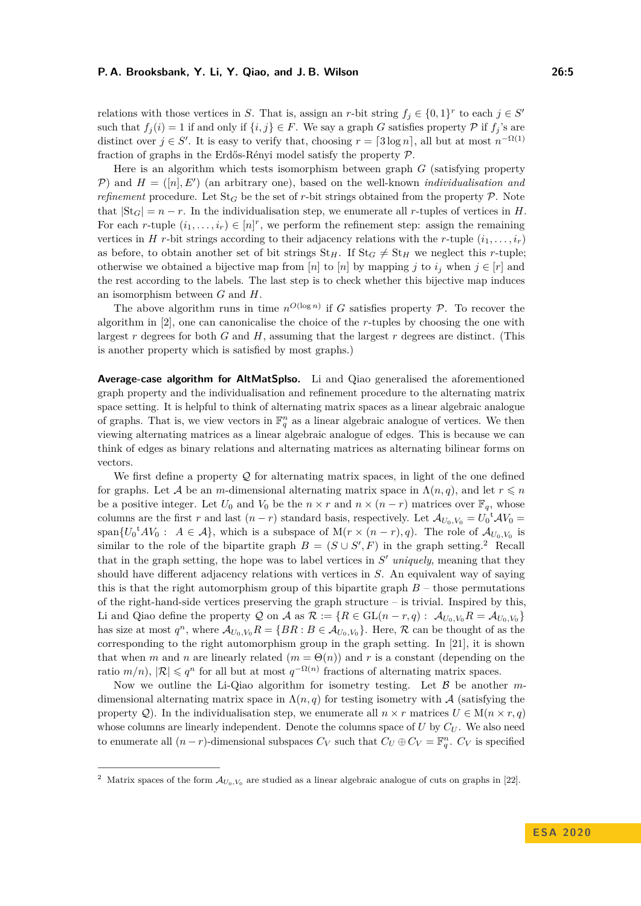relations with those vertices in *S*. That is, assign an *r*-bit string  $f_j \in \{0,1\}^r$  to each  $j \in S'$ such that  $f_i(i) = 1$  if and only if  $\{i, j\} \in F$ . We say a graph *G* satisfies property  $\mathcal P$  if  $f_i$ 's are distinct over  $j \in S'$ . It is easy to verify that, choosing  $r = \lceil 3 \log n \rceil$ , all but at most  $n^{-\Omega(1)}$ fraction of graphs in the Erdős-Rényi model satisfy the property P.

Here is an algorithm which tests isomorphism between graph *G* (satisfying property P) and  $H = ([n], E')$  (an arbitrary one), based on the well-known *individualisation and refinement* procedure. Let  $St_G$  be the set of *r*-bit strings obtained from the property P. Note that  $|St_G| = n - r$ . In the individualisation step, we enumerate all *r*-tuples of vertices in *H*. For each *r*-tuple  $(i_1, \ldots, i_r) \in [n]^r$ , we perform the refinement step: assign the remaining vertices in *H r*-bit strings according to their adjacency relations with the *r*-tuple  $(i_1, \ldots, i_r)$ as before, to obtain another set of bit strings  $St_H$ . If  $St_G \neq St_H$  we neglect this *r*-tuple; otherwise we obtained a bijective map from [*n*] to [*n*] by mapping *j* to  $i_j$  when  $j \in [r]$  and the rest according to the labels. The last step is to check whether this bijective map induces an isomorphism between *G* and *H*.

The above algorithm runs in time  $n^{O(\log n)}$  if *G* satisfies property *P*. To recover the algorithm in [\[2\]](#page-12-1), one can canonicalise the choice of the *r*-tuples by choosing the one with largest *r* degrees for both *G* and *H*, assuming that the largest *r* degrees are distinct. (This is another property which is satisfied by most graphs.)

**Average-case algorithm for AltMatSplso.** Li and Qiao generalised the aforementioned graph property and the individualisation and refinement procedure to the alternating matrix space setting. It is helpful to think of alternating matrix spaces as a linear algebraic analogue of graphs. That is, we view vectors in  $\mathbb{F}_q^n$  as a linear algebraic analogue of vertices. We then viewing alternating matrices as a linear algebraic analogue of edges. This is because we can think of edges as binary relations and alternating matrices as alternating bilinear forms on vectors.

We first define a property  $Q$  for alternating matrix spaces, in light of the one defined for graphs. Let A be an *m*-dimensional alternating matrix space in  $\Lambda(n,q)$ , and let  $r \leq n$ be a positive integer. Let  $U_0$  and  $V_0$  be the  $n \times r$  and  $n \times (n - r)$  matrices over  $\mathbb{F}_q$ , whose columns are the first *r* and last  $(n - r)$  standard basis, respectively. Let  $\mathcal{A}_{U_0, V_0} = U_0^{\dagger} \mathcal{A} V_0$ span $\{U_0^{\dagger} A V_0 : A \in \mathcal{A}\}\$ , which is a subspace of  $M(r \times (n-r), q)$ . The role of  $\mathcal{A}_{U_0, V_0}$  is similar to the role of the bipartite graph  $B = (S \cup S', F)$  in the graph setting.<sup>[2](#page-4-0)</sup> Recall that in the graph setting, the hope was to label vertices in  $S'$  *uniquely*, meaning that they should have different adjacency relations with vertices in *S*. An equivalent way of saying this is that the right automorphism group of this bipartite graph  $B$  – those permutations of the right-hand-side vertices preserving the graph structure  $-$  is trivial. Inspired by this, Li and Qiao define the property Q on A as  $\mathcal{R} := \{R \in GL(n-r, q) : \mathcal{A}_{U_0, V_0}R = \mathcal{A}_{U_0, V_0}\}$ has size at most  $q^n$ , where  $\mathcal{A}_{U_0,V_0}R = \{BR : B \in \mathcal{A}_{U_0,V_0}\}$ . Here,  $\mathcal{R}$  can be thought of as the corresponding to the right automorphism group in the graph setting. In [\[21\]](#page-13-0), it is shown that when *m* and *n* are linearly related  $(m = \Theta(n))$  and *r* is a constant (depending on the ratio  $m/n$ ,  $|\mathcal{R}| \leqslant q^n$  for all but at most  $q^{-\Omega(n)}$  fractions of alternating matrix spaces.

Now we outline the Li-Qiao algorithm for isometry testing. Let B be another *m*dimensional alternating matrix space in  $\Lambda(n,q)$  for testing isometry with  $\mathcal A$  (satisfying the property  $Q$ ). In the individualisation step, we enumerate all  $n \times r$  matrices  $U \in M(n \times r, q)$ whose columns are linearly independent. Denote the columns space of  $U$  by  $C_U$ . We also need to enumerate all  $(n - r)$ -dimensional subspaces  $C_V$  such that  $C_U \oplus C_V = \mathbb{F}_q^n$ .  $C_V$  is specified

<span id="page-4-0"></span><sup>&</sup>lt;sup>2</sup> Matrix spaces of the form  $A_{U_0,V_0}$  are studied as a linear algebraic analogue of cuts on graphs in [\[22\]](#page-13-16).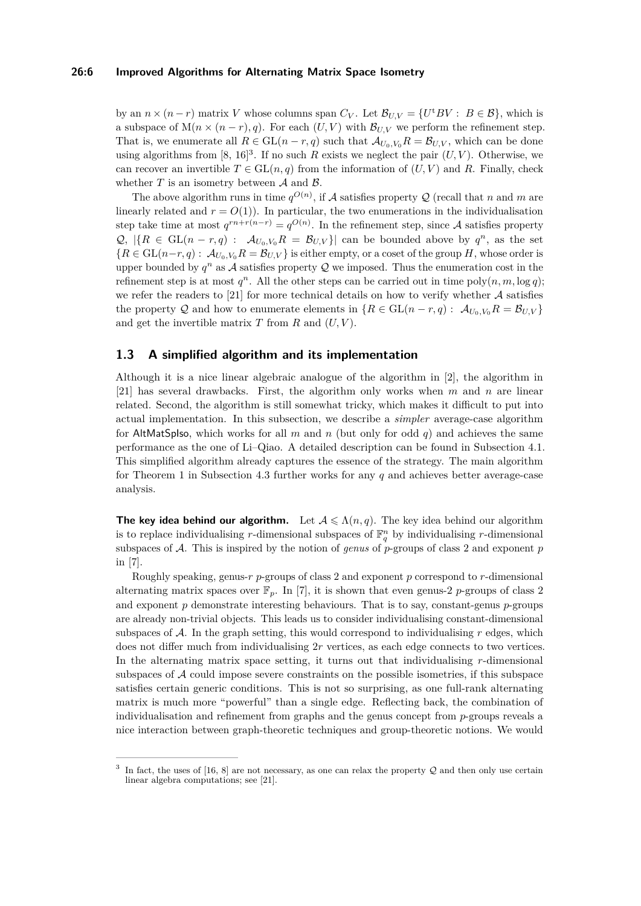#### **26:6 Improved Algorithms for Alternating Matrix Space Isometry**

by an  $n \times (n-r)$  matrix *V* whose columns span  $C_V$ . Let  $\mathcal{B}_{U,V} = \{U^{\dagger}BV : B \in \mathcal{B}\}\,$ , which is a subspace of  $M(n \times (n-r), q)$ . For each  $(U, V)$  with  $\mathcal{B}_{U, V}$  we perform the refinement step. That is, we enumerate all  $R \in GL(n-r,q)$  such that  $\mathcal{A}_{U_0,V_0}R = \mathcal{B}_{U,V}$ , which can be done using algorithms from  $[8, 16]^3$  $[8, 16]^3$  $[8, 16]^3$  $[8, 16]^3$  $[8, 16]^3$ . If no such *R* exists we neglect the pair  $(U, V)$ . Otherwise, we can recover an invertible  $T \in GL(n, q)$  from the information of  $(U, V)$  and R. Finally, check whether  $T$  is an isometry between  $A$  and  $B$ .

The above algorithm runs in time  $q^{O(n)}$ , if A satisfies property Q (recall that *n* and *m* are linearly related and  $r = O(1)$ ). In particular, the two enumerations in the individualisation step take time at most  $q^{rn+r(n-r)} = q^{O(n)}$ . In the refinement step, since A satisfies property  $\mathcal{Q}, \ |\{R \in GL(n-r,q) : \mathcal{A}_{U_0,V_0}R = \mathcal{B}_{U,V}\}\|$  can be bounded above by  $q^n$ , as the set  ${R \in GL(n-r,q): \mathcal{A}_{U_0,V_0}R = \mathcal{B}_{U,V}}$  is either empty, or a coset of the group *H*, whose order is upper bounded by  $q^n$  as A satisfies property Q we imposed. Thus the enumeration cost in the refinement step is at most  $q^n$ . All the other steps can be carried out in time  $poly(n, m, \log q)$ ; we refer the readers to  $[21]$  for more technical details on how to verify whether  $\mathcal A$  satisfies the property Q and how to enumerate elements in  $\{R \in GL(n-r,q): \mathcal{A}_{U_0,V_0}R = \mathcal{B}_{U,V}\}\$ and get the invertible matrix  $T$  from  $R$  and  $(U, V)$ .

## <span id="page-5-0"></span>**1.3 A simplified algorithm and its implementation**

Although it is a nice linear algebraic analogue of the algorithm in [\[2\]](#page-12-1), the algorithm in [\[21\]](#page-13-0) has several drawbacks. First, the algorithm only works when *m* and *n* are linear related. Second, the algorithm is still somewhat tricky, which makes it difficult to put into actual implementation. In this subsection, we describe a *simpler* average-case algorithm for AltMatSpIso, which works for all *m* and *n* (but only for odd *q*) and achieves the same performance as the one of Li–Qiao. A detailed description can be found in [Subsection 4.1.](#page-9-0) This simplified algorithm already captures the essence of the strategy. The main algorithm for [Theorem 1](#page-1-0) in [Subsection 4.3](#page-11-0) further works for any *q* and achieves better average-case analysis.

**The key idea behind our algorithm.** Let  $A \leq \Lambda(n, q)$ . The key idea behind our algorithm is to replace individualising *r*-dimensional subspaces of  $\mathbb{F}_q^n$  by individualising *r*-dimensional subspaces of A. This is inspired by the notion of *genus* of *p*-groups of class 2 and exponent *p* in [\[7\]](#page-13-13).

Roughly speaking, genus-*r p*-groups of class 2 and exponent *p* correspond to *r*-dimensional alternating matrix spaces over  $\mathbb{F}_p$ . In [\[7\]](#page-13-13), it is shown that even genus-2 *p*-groups of class 2 and exponent *p* demonstrate interesting behaviours. That is to say, constant-genus *p*-groups are already non-trivial objects. This leads us to consider individualising constant-dimensional subspaces of A. In the graph setting, this would correspond to individualising *r* edges, which does not differ much from individualising 2*r* vertices, as each edge connects to two vertices. In the alternating matrix space setting, it turns out that individualising *r*-dimensional subspaces of  $A$  could impose severe constraints on the possible isometries, if this subspace satisfies certain generic conditions. This is not so surprising, as one full-rank alternating matrix is much more "powerful" than a single edge. Reflecting back, the combination of individualisation and refinement from graphs and the genus concept from *p*-groups reveals a nice interaction between graph-theoretic techniques and group-theoretic notions. We would

<span id="page-5-1"></span><sup>3</sup> In fact, the uses of [\[16,](#page-13-18) [8\]](#page-13-17) are not necessary, as one can relax the property  $\mathcal Q$  and then only use certain linear algebra computations; see [\[21\]](#page-13-0).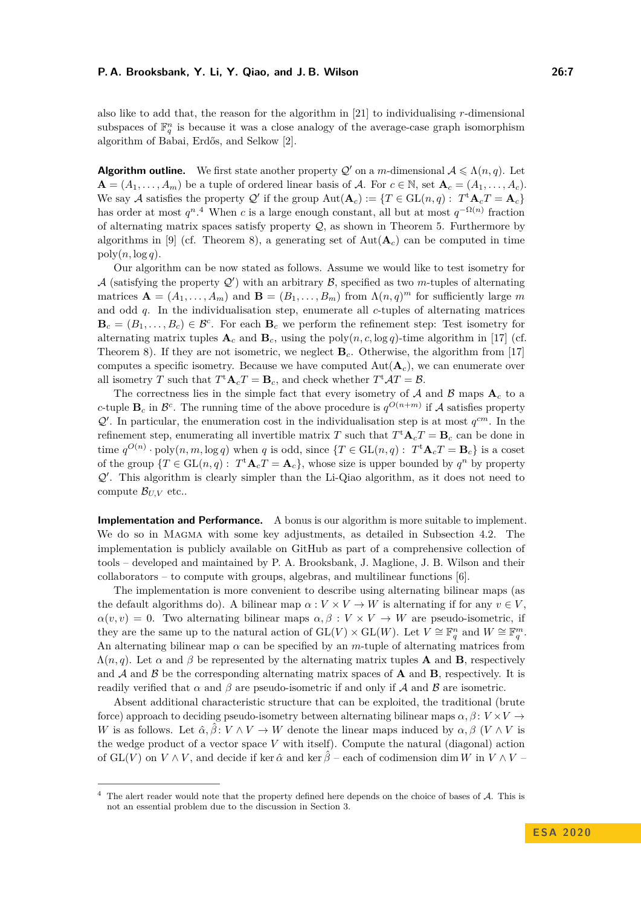also like to add that, the reason for the algorithm in [\[21\]](#page-13-0) to individualising *r*-dimensional subspaces of  $\mathbb{F}_q^n$  is because it was a close analogy of the average-case graph isomorphism algorithm of Babai, Erdős, and Selkow [\[2\]](#page-12-1).

**Algorithm outline.** We first state another property  $Q'$  on a *m*-dimensional  $A \leq \Lambda(n, q)$ . Let  $\mathbf{A} = (A_1, \ldots, A_m)$  be a tuple of ordered linear basis of A. For  $c \in \mathbb{N}$ , set  $\mathbf{A}_c = (A_1, \ldots, A_c)$ . We say A satisfies the property Q' if the group  $Aut(A_c) := \{T \in GL(n,q) : T^{\dagger}A_cT = A_c\}$ has order at most  $q^n$ .<sup>[4](#page-6-0)</sup> When *c* is a large enough constant, all but at most  $q^{-\Omega(n)}$  fraction of alternating matrix spaces satisfy property  $\mathcal{Q}$ , as shown in [Theorem 5.](#page-8-1) Furthermore by algorithms in [\[9\]](#page-13-12) (cf. [Theorem 8\)](#page-9-1), a generating set of  $Aut(A<sub>c</sub>)$  can be computed in time  $poly(n, \log q)$ .

Our algorithm can be now stated as follows. Assume we would like to test isometry for A (satisfying the property  $Q'$ ) with an arbitrary B, specified as two *m*-tuples of alternating matrices  $\mathbf{A} = (A_1, \ldots, A_m)$  and  $\mathbf{B} = (B_1, \ldots, B_m)$  from  $\Lambda(n,q)^m$  for sufficiently large m and odd *q*. In the individualisation step, enumerate all *c*-tuples of alternating matrices  $\mathbf{B}_c = (B_1, \ldots, B_c) \in \mathcal{B}^c$ . For each  $\mathbf{B}_c$  we perform the refinement step: Test isometry for alternating matrix tuples  $\mathbf{A}_c$  and  $\mathbf{B}_c$ , using the poly $(n, c, \log q)$ -time algorithm in [\[17\]](#page-13-15) (cf. [Theorem 8\)](#page-9-1). If they are not isometric, we neglect **B***c*. Otherwise, the algorithm from [\[17\]](#page-13-15) computes a specific isometry. Because we have computed  $Aut(A<sub>c</sub>)$ , we can enumerate over all isometry *T* such that  $T^{\text{t}} \mathbf{A}_c T = \mathbf{B}_c$ , and check whether  $T^{\text{t}} \mathcal{A} T = \mathcal{B}$ .

The correctness lies in the simple fact that every isometry of  $A$  and  $B$  maps  $A_c$  to a *c*-tuple  $\mathbf{B}_c$  in  $\mathcal{B}^c$ . The running time of the above procedure is  $q^{O(n+m)}$  if A satisfies property  $Q'$ . In particular, the enumeration cost in the individualisation step is at most  $q^{cm}$ . In the refinement step, enumerating all invertible matrix *T* such that  $T^{\text{t}}\mathbf{A}_cT = \mathbf{B}_c$  can be done in time  $q^{O(n)} \cdot \text{poly}(n, m, \log q)$  when *q* is odd, since  $\{T \in GL(n, q) : T^{\text{t}}\mathbf{A}_cT = \mathbf{B}_c\}$  is a coset of the group  $\{T \in GL(n,q): T^{\dagger} \mathbf{A}_c T = \mathbf{A}_c\}$ , whose size is upper bounded by  $q^n$  by property  $Q'$ . This algorithm is clearly simpler than the Li-Qiao algorithm, as it does not need to compute  $\mathcal{B}_{UV}$  etc..

**Implementation and Performance.** A bonus is our algorithm is more suitable to implement. We do so in MAGMA with some key adjustments, as detailed in [Subsection 4.2.](#page-10-0) The implementation is publicly available on GitHub as part of a comprehensive collection of tools – developed and maintained by P. A. Brooksbank, J. Maglione, J. B. Wilson and their collaborators – to compute with groups, algebras, and multilinear functions [\[6\]](#page-13-2).

The implementation is more convenient to describe using alternating bilinear maps (as the default algorithms do). A bilinear map  $\alpha: V \times V \to W$  is alternating if for any  $v \in V$ ,  $\alpha(v, v) = 0$ . Two alternating bilinear maps  $\alpha, \beta : V \times V \rightarrow W$  are pseudo-isometric, if they are the same up to the natural action of  $GL(V) \times GL(W)$ . Let  $V \cong \mathbb{F}_q^n$  and  $W \cong \mathbb{F}_q^m$ . An alternating bilinear map *α* can be specified by an *m*-tuple of alternating matrices from  $\Lambda(n,q)$ . Let  $\alpha$  and  $\beta$  be represented by the alternating matrix tuples **A** and **B**, respectively and  $A$  and  $B$  be the corresponding alternating matrix spaces of  $A$  and  $B$ , respectively. It is readily verified that  $\alpha$  and  $\beta$  are pseudo-isometric if and only if A and B are isometric.

Absent additional characteristic structure that can be exploited, the traditional (brute force) approach to deciding pseudo-isometry between alternating bilinear maps  $\alpha, \beta \colon V \times V \to$ *W* is as follows. Let  $\hat{\alpha}, \hat{\beta}: V \wedge V \to W$  denote the linear maps induced by  $\alpha, \beta$  (*V*  $\wedge$  *V* is the wedge product of a vector space *V* with itself). Compute the natural (diagonal) action of GL(*V*) on  $V \wedge V$ , and decide if ker  $\hat{\alpha}$  and ker  $\hat{\beta}$  – each of codimension dim *W* in  $V \wedge V$  –

<span id="page-6-0"></span> $4$  The alert reader would note that the property defined here depends on the choice of bases of  $A$ . This is not an essential problem due to the discussion in [Section 3.](#page-8-2)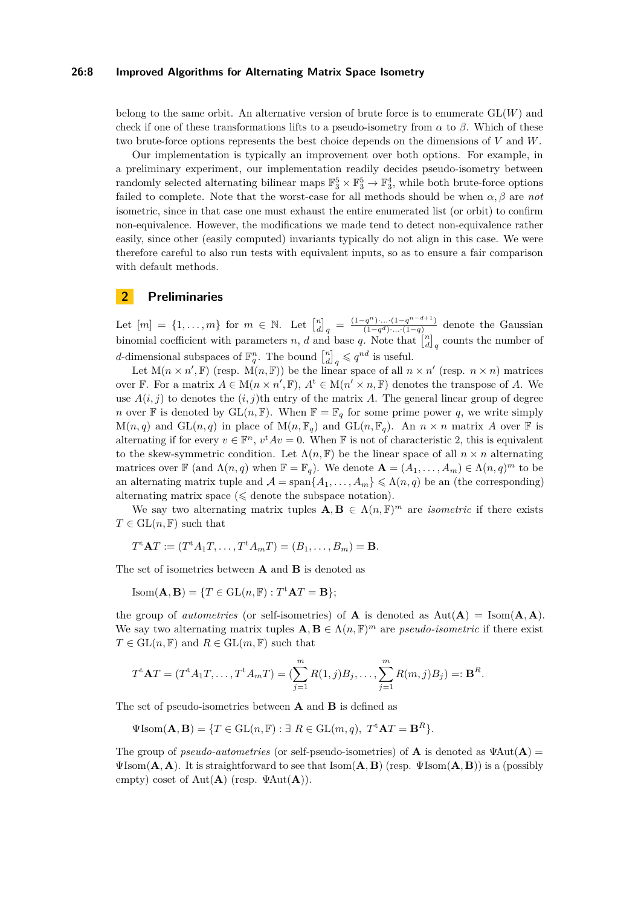#### **26:8 Improved Algorithms for Alternating Matrix Space Isometry**

belong to the same orbit. An alternative version of brute force is to enumerate GL(*W*) and check if one of these transformations lifts to a pseudo-isometry from  $\alpha$  to  $\beta$ . Which of these two brute-force options represents the best choice depends on the dimensions of *V* and *W*.

Our implementation is typically an improvement over both options. For example, in a preliminary experiment, our implementation readily decides pseudo-isometry between randomly selected alternating bilinear maps  $\mathbb{F}_3^5 \times \mathbb{F}_3^5 \to \mathbb{F}_3^4$ , while both brute-force options failed to complete. Note that the worst-case for all methods should be when  $\alpha, \beta$  are *not* isometric, since in that case one must exhaust the entire enumerated list (or orbit) to confirm non-equivalence. However, the modifications we made tend to detect non-equivalence rather easily, since other (easily computed) invariants typically do not align in this case. We were therefore careful to also run tests with equivalent inputs, so as to ensure a fair comparison with default methods.

## <span id="page-7-0"></span>**2 Preliminaries**

Let  $[m] = \{1, ..., m\}$  for  $m \in \mathbb{N}$ . Let  $\begin{bmatrix} n \\ d \end{bmatrix}_q = \frac{(1-q^n)...(1-q^{n-d+1})}{(1-q^d)...(1-q)}$  $\frac{(q^d)^2 \cdots (1-q^{d^d-1}-1)}{(1-q^d) \cdots (1-q)}$  denote the Gaussian binomial coefficient with parameters *n*, *d* and base *q*. Note that  $\begin{bmatrix} n \\ d \end{bmatrix}_q$  counts the number of *d*-dimensional subspaces of  $\mathbb{F}_q^n$ . The bound  $\begin{bmatrix} n \\ d \end{bmatrix}_q \leqslant q^{nd}$  is useful.

Let  $M(n \times n', \mathbb{F})$  (resp.  $M(n, \mathbb{F})$ ) be the linear space of all  $n \times n'$  (resp.  $n \times n$ ) matrices over F. For a matrix  $A \in M(n \times n', \mathbb{F})$ ,  $A^t \in M(n' \times n, \mathbb{F})$  denotes the transpose of *A*. We use  $A(i, j)$  to denotes the  $(i, j)$ <sup>th</sup> entry of the matrix A. The general linear group of degree *n* over **F** is denoted by  $GL(n, \mathbb{F})$ . When  $\mathbb{F} = \mathbb{F}_q$  for some prime power *q*, we write simply  $M(n,q)$  and  $GL(n,q)$  in place of  $M(n,\mathbb{F}_q)$  and  $GL(n,\mathbb{F}_q)$ . An  $n \times n$  matrix A over  $\mathbb F$  is alternating if for every  $v \in \mathbb{F}^n$ ,  $v^tAv = 0$ . When  $\mathbb F$  is not of characteristic 2, this is equivalent to the skew-symmetric condition. Let  $\Lambda(n, \mathbb{F})$  be the linear space of all  $n \times n$  alternating matrices over  $\mathbb{F}$  (and  $\Lambda(n,q)$  when  $\mathbb{F} = \mathbb{F}_q$ ). We denote  $\mathbf{A} = (A_1, \ldots, A_m) \in \Lambda(n,q)^m$  to be an alternating matrix tuple and  $\mathcal{A} = \text{span}\{A_1, \ldots, A_m\} \leq \Lambda(n, q)$  be an (the corresponding) alternating matrix space  $(\leq 1)$  denote the subspace notation.

We say two alternating matrix tuples  $\mathbf{A}, \mathbf{B} \in \Lambda(n, \mathbb{F})^m$  are *isometric* if there exists  $T \in GL(n, \mathbb{F})$  such that

$$
T^{\mathbf{t}}\mathbf{A}T:=(T^{\mathbf{t}}A_1T,\ldots,T^{\mathbf{t}}A_mT)=(B_1,\ldots,B_m)=\mathbf{B}.
$$

The set of isometries between **A** and **B** is denoted as

$$
Isom(\mathbf{A}, \mathbf{B}) = \{ T \in GL(n, \mathbb{F}) : T^{\mathbf{t}} \mathbf{A} T = \mathbf{B} \};
$$

the group of *autometries* (or self-isometries) of **A** is denoted as  $Aut(A) = Isom(A, A)$ . We say two alternating matrix tuples  $\mathbf{A}, \mathbf{B} \in \Lambda(n, \mathbb{F})^m$  are *pseudo-isometric* if there exist  $T \in GL(n, \mathbb{F})$  and  $R \in GL(m, \mathbb{F})$  such that

$$
T^{\mathbf{t}}\mathbf{A}T = (T^{\mathbf{t}}A_1T, \dots, T^{\mathbf{t}}A_mT) = (\sum_{j=1}^m R(1,j)B_j, \dots, \sum_{j=1}^m R(m,j)B_j) =: \mathbf{B}^R.
$$

The set of pseudo-isometries between **A** and **B** is defined as

 $\Psi$ Isom $(\mathbf{A}, \mathbf{B}) = \{T \in GL(n, \mathbb{F}) : \exists R \in GL(m, q), T^{\mathsf{t}} \mathbf{A} T = \mathbf{B}^R\}.$ 

The group of *pseudo-autometries* (or self-pseudo-isometries) of **A** is denoted as  $\Psi \text{Aut}(\mathbf{A}) =$ ΨIsom(**A***,* **A**). It is straightforward to see that Isom(**A***,* **B**) (resp. ΨIsom(**A***,* **B**)) is a (possibly empty) coset of Aut(**A**) (resp. ΨAut(**A**)).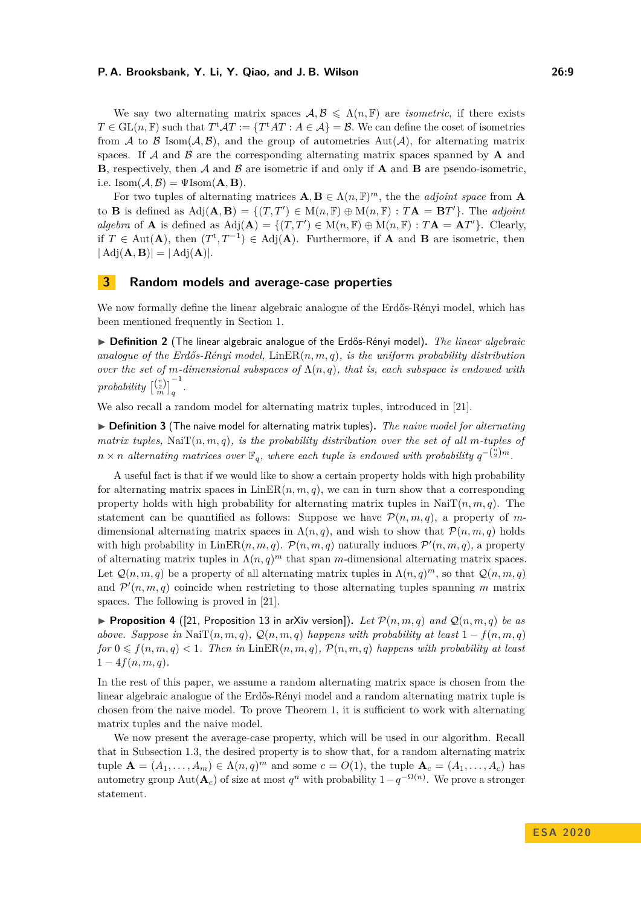We say two alternating matrix spaces  $A, B \leq \Lambda(n, F)$  are *isometric*, if there exists  $T \in GL(n, \mathbb{F})$  such that  $T^{\mathrm{t}}AT := \{T^{\mathrm{t}}AT : A \in \mathcal{A}\} = \mathcal{B}$ . We can define the coset of isometries from  $A$  to  $B$  Isom( $A, B$ ), and the group of autometries Aut( $A$ ), for alternating matrix spaces. If  $A$  and  $B$  are the corresponding alternating matrix spaces spanned by  $A$  and **B**, respectively, then A and B are isometric if and only if A and B are pseudo-isometric, i.e.  $\text{Isom}(\mathcal{A}, \mathcal{B}) = \Psi \text{Isom}(\mathbf{A}, \mathbf{B}).$ 

For two tuples of alternating matrices  $\mathbf{A}, \mathbf{B} \in \Lambda(n, \mathbb{F})^m$ , the the *adjoint space* from **A** to **B** is defined as  $\text{Adj}(\mathbf{A}, \mathbf{B}) = \{(T, T') \in \text{M}(n, \mathbb{F}) \oplus \text{M}(n, \mathbb{F}) : T\mathbf{A} = \mathbf{B}T'\}.$  The *adjoint algebra* of **A** is defined as  $\text{Adj}(\mathbf{A}) = \{(T, T') \in \text{M}(n, \mathbb{F}) \oplus \text{M}(n, \mathbb{F}) : T\mathbf{A} = \mathbf{A}T'\}.$  Clearly, if *T* ∈ Aut(**A**), then  $(T^t, T^{-1})$  ∈ Adj(**A**). Furthermore, if **A** and **B** are isometric, then  $| \operatorname{Adj}(\mathbf{A}, \mathbf{B}) | = | \operatorname{Adj}(\mathbf{A}) |.$ 

## <span id="page-8-2"></span>**3 Random models and average-case properties**

We now formally define the linear algebraic analogue of the Erdős-Rényi model, which has been mentioned frequently in [Section 1.](#page-1-1)

<span id="page-8-0"></span>I **Definition 2** (The linear algebraic analogue of the Erdős-Rényi model)**.** *The linear algebraic analogue of the Erdős-Rényi model,* LinER(*n, m, q*)*, is the uniform probability distribution over the set of m-dimensional subspaces of*  $\Lambda(n,q)$ *, that is, each subspace is endowed with*  $\left[probability\left[\binom{n}{2}\right]_q^{-1}\right]$ .

We also recall a random model for alternating matrix tuples, introduced in [\[21\]](#page-13-0).

▶ **Definition 3** (The naive model for alternating matrix tuples). The naive model for alternating *matrix tuples,* Nai $T(n, m, q)$ *, is the probability distribution over the set of all m-tuples of*  $n \times n$  alternating matrices over  $\mathbb{F}_q$ , where each tuple is endowed with probability  $q^{-\binom{n}{2}m}$ .

A useful fact is that if we would like to show a certain property holds with high probability for alternating matrix spaces in  $\text{LinER}(n, m, q)$ , we can in turn show that a corresponding property holds with high probability for alternating matrix tuples in NaiT $(n, m, q)$ . The statement can be quantified as follows: Suppose we have  $\mathcal{P}(n,m,q)$ , a property of mdimensional alternating matrix spaces in  $\Lambda(n,q)$ , and wish to show that  $\mathcal{P}(n,m,q)$  holds with high probability in  $\text{LinER}(n, m, q)$ .  $\mathcal{P}(n, m, q)$  naturally induces  $\mathcal{P}'(n, m, q)$ , a property of alternating matrix tuples in  $\Lambda(n,q)^m$  that span *m*-dimensional alternating matrix spaces. Let  $\mathcal{Q}(n,m,q)$  be a property of all alternating matrix tuples in  $\Lambda(n,q)^m$ , so that  $\mathcal{Q}(n,m,q)$ and  $\mathcal{P}'(n,m,q)$  coincide when restricting to those alternating tuples spanning m matrix spaces. The following is proved in [\[21\]](#page-13-0).

**Proposition 4** ([\[21,](#page-13-0) Proposition 13 in arXiv version]). Let  $\mathcal{P}(n,m,q)$  and  $\mathcal{Q}(n,m,q)$  be as *above. Suppose in* Nai $T(n, m, q)$ *,*  $Q(n, m, q)$  *happens with probability at least*  $1 - f(n, m, q)$ *for*  $0 \leq f(n, m, q) < 1$ *. Then in* LinER $(n, m, q)$ *,*  $P(n, m, q)$  *happens with probability at least*  $1 - 4f(n, m, q)$ .

In the rest of this paper, we assume a random alternating matrix space is chosen from the linear algebraic analogue of the Erdős-Rényi model and a random alternating matrix tuple is chosen from the naive model. To prove [Theorem 1,](#page-1-0) it is sufficient to work with alternating matrix tuples and the naive model.

<span id="page-8-1"></span>We now present the average-case property, which will be used in our algorithm. Recall that in [Subsection 1.3,](#page-5-0) the desired property is to show that, for a random alternating matrix tuple  $\mathbf{A} = (A_1, \ldots, A_m) \in \Lambda(n, q)^m$  and some  $c = O(1)$ , the tuple  $\mathbf{A}_c = (A_1, \ldots, A_c)$  has autometry group  $\text{Aut}(\mathbf{A}_c)$  of size at most  $q^n$  with probability  $1-q^{-\Omega(n)}$ . We prove a stronger statement.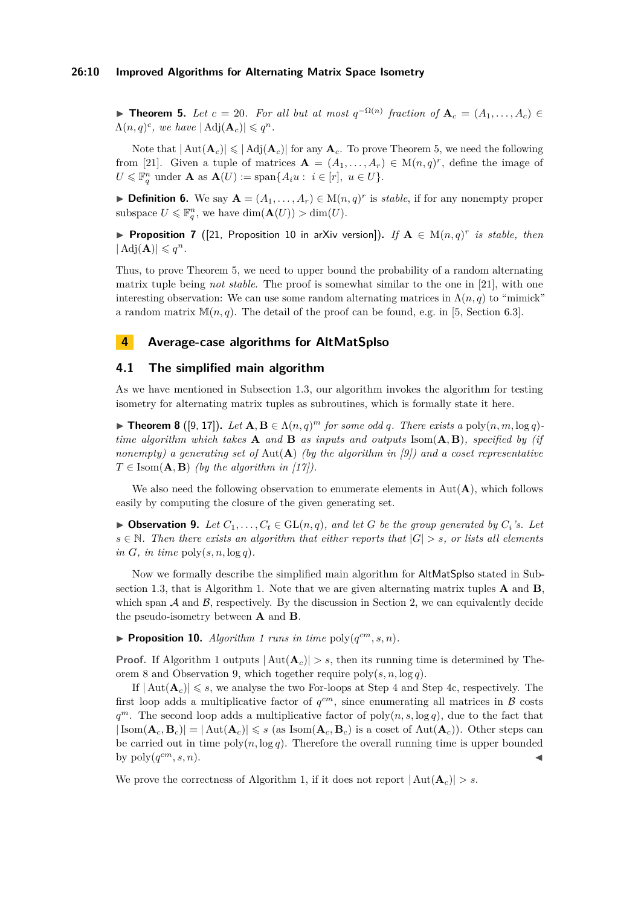## **26:10 Improved Algorithms for Alternating Matrix Space Isometry**

► **Theorem 5.** *Let*  $c = 20$ *. For all but at most*  $q^{-\Omega(n)}$  *fraction of*  $\mathbf{A}_c = (A_1, \ldots, A_c)$  $\Lambda(n,q)^c$ , we have  $|\operatorname{Adj}(\mathbf{A}_c)| \leqslant q^n$ .

Note that  $|\text{Aut}(\mathbf{A}_c)| \leq |\text{Adj}(\mathbf{A}_c)|$  for any  $\mathbf{A}_c$ . To prove [Theorem 5,](#page-8-1) we need the following from [\[21\]](#page-13-0). Given a tuple of matrices  $\mathbf{A} = (A_1, \ldots, A_r) \in M(n, q)^r$ , define the image of  $U \leq \mathbb{F}_q^n$  under **A** as  $\mathbf{A}(U) := \text{span}\{A_i u : i \in [r], u \in U\}.$ 

**Definition 6.** We say  $A = (A_1, \ldots, A_r) \in M(n, q)^r$  is *stable*, if for any nonempty proper subspace  $U \leqslant \mathbb{F}_q^n$ , we have  $\dim(\mathbf{A}(U)) > \dim(U)$ .

**Proposition 7** ([\[21,](#page-13-0) Proposition 10 in arXiv version]). If  $A \in M(n,q)^r$  is stable, then  $| \operatorname{Adj}(\mathbf{A}) | \leqslant q^n$ .

Thus, to prove [Theorem 5,](#page-8-1) we need to upper bound the probability of a random alternating matrix tuple being *not stable*. The proof is somewhat similar to the one in [\[21\]](#page-13-0), with one interesting observation: We can use some random alternating matrices in  $\Lambda(n,q)$  to "mimick" a random matrix  $\mathbb{M}(n,q)$ . The detail of the proof can be found, e.g. in [\[5,](#page-12-0) Section 6.3].

## **4 Average-case algorithms for AltMatSplso**

## <span id="page-9-0"></span>**4.1 The simplified main algorithm**

As we have mentioned in [Subsection 1.3,](#page-5-0) our algorithm invokes the algorithm for testing isometry for alternating matrix tuples as subroutines, which is formally state it here.

<span id="page-9-1"></span>**Findmark 3** ([\[9,](#page-13-12) [17\]](#page-13-15)). Let  $\mathbf{A}, \mathbf{B} \in \Lambda(n, q)^m$  for some odd q. There exists a poly $(n, m, \log q)$ *time algorithm which takes* **A** *and* **B** *as inputs and outputs* Isom(**A***,* **B**)*, specified by (if nonempty) a generating set of* Aut(**A**) *(by the algorithm in [\[9\]](#page-13-12)) and a coset representative*  $T \in \text{Isom}(\mathbf{A}, \mathbf{B})$  *(by the algorithm in [\[17\]](#page-13-15)).* 

We also need the following observation to enumerate elements in  $Aut(A)$ , which follows easily by computing the closure of the given generating set.

<span id="page-9-2"></span>▶ Observation 9. Let  $C_1, \ldots, C_t$  ∈ GL(*n, q*)*, and let G be the group generated by*  $C_i$ *'s. Let*  $s \in \mathbb{N}$ . Then there exists an algorithm that either reports that  $|G| > s$ , or lists all elements  $in G$ *, in time* poly $(s, n, \log q)$ *.* 

Now we formally describe the simplified main algorithm for AltMatSpIso stated in [Sub](#page-5-0)[section 1.3,](#page-5-0) that is [Algorithm 1.](#page-10-1) Note that we are given alternating matrix tuples **A** and **B**, which span  $A$  and  $B$ , respectively. By the discussion in [Section 2,](#page-7-0) we can equivalently decide the pseudo-isometry between **A** and **B**.

<span id="page-9-3"></span>**Proposition 10.** *[Algorithm 1](#page-10-1) runs in time*  $\text{poly}(q^{cm}, s, n)$ *.* 

**Proof.** If [Algorithm 1](#page-10-1) outputs  $|\text{Aut}(\mathbf{A}_c)| > s$ , then its running time is determined by [The](#page-9-1)[orem 8](#page-9-1) and [Observation 9,](#page-9-2) which together require poly(*s, n,* log *q*).

If  $|\text{Aut}(\mathbf{A}_c)| \leqslant s$ , we analyse the two For-loops at Step [4](#page-10-2) and Step [4c,](#page-10-3) respectively. The first loop adds a multiplicative factor of  $q^{cm}$ , since enumerating all matrices in  $\beta$  costs  $q^m$ . The second loop adds a multiplicative factor of poly $(n, s, \log q)$ , due to the fact that  $|\text{Isom}(\mathbf{A}_c, \mathbf{B}_c)| = |\text{Aut}(\mathbf{A}_c)| \leqslant s$  (as Isom $(\mathbf{A}_c, \mathbf{B}_c)$ ) is a coset of  $\text{Aut}(\mathbf{A}_c)$ ). Other steps can be carried out in time  $poly(n, \log q)$ . Therefore the overall running time is upper bounded by  $\text{poly}(q^{cm}, s, n)$ .  $\mathbf{c}^{cm}, s, n$ .

We prove the correctness of [Algorithm 1,](#page-10-1) if it does not report  $|\text{Aut}(\mathbf{A}_c)| > s$ .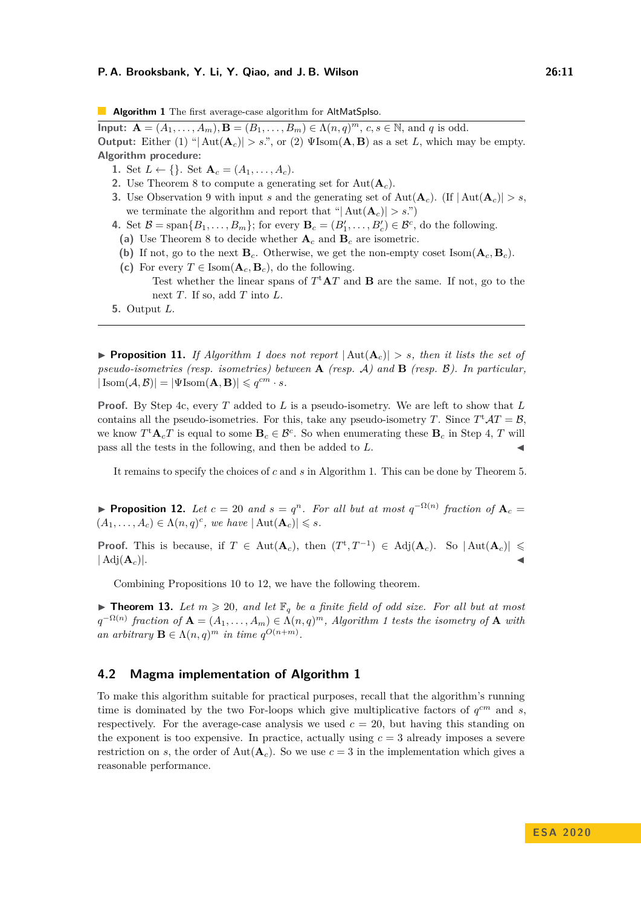<span id="page-10-1"></span>**Algorithm 1** The first average-case algorithm for AltMatSpIso.

**Input:**  $A = (A_1, ..., A_m), B = (B_1, ..., B_m) \in \Lambda(n, q)^m, c, s \in \mathbb{N}$ , and *q* is odd. **Output:** Either (1) " $|\text{Aut}(\mathbf{A}_c)| > s$ .", or (2)  $\Psi$ Isom( $\mathbf{A}, \mathbf{B}$ ) as a set *L*, which may be empty. **Algorithm procedure:**

- 1. Set  $L \leftarrow \{\}$ . Set  $\mathbf{A}_c = (A_1, \dots, A_c)$ .
- **2.** Use [Theorem 8](#page-9-1) to compute a generating set for Aut(**A***c*).
- **3.** Use [Observation 9](#page-9-2) with input *s* and the generating set of Aut $(\mathbf{A}_c)$ . (If  $|\text{Aut}(\mathbf{A}_c)| > s$ , we terminate the algorithm and report that " $|\text{Aut}(\mathbf{A}_c)| > s$ .")
- <span id="page-10-2"></span>**4.** Set  $\mathcal{B} = \text{span}\{B_1, \ldots, B_m\}$ ; for every  $\mathbf{B}_c = (B'_1, \ldots, B'_c) \in \mathcal{B}^c$ , do the following.
- **(a)** Use [Theorem 8](#page-9-1) to decide whether **A***<sup>c</sup>* and **B***<sup>c</sup>* are isometric.
- (b) If not, go to the next  $\mathbf{B}_c$ . Otherwise, we get the non-empty coset Isom $(\mathbf{A}_c, \mathbf{B}_c)$ .
- <span id="page-10-3"></span>(c) For every  $T \in \text{Isom}(\mathbf{A}_c, \mathbf{B}_c)$ , do the following. Test whether the linear spans of  $T^{\dagger}AT$  and **B** are the same. If not, go to the next *T*. If so, add *T* into *L*.
- **5.** Output *L*.

**Proposition 11.** If [Algorithm 1](#page-10-1) does not report  $|\text{Aut}(\mathbf{A}_c)| > s$ , then it lists the set of *pseudo-isometries (resp. isometries) between* **A** *(resp.* A*) and* **B** *(resp.* B*). In particular,*  $|\text{Isom}(\mathcal{A}, \mathcal{B})| = |\Psi \text{Isom}(\mathbf{A}, \mathbf{B})| \leqslant q^{cm} \cdot s.$ 

**Proof.** By Step [4c,](#page-10-3) every *T* added to *L* is a pseudo-isometry. We are left to show that *L* contains all the pseudo-isometries. For this, take any pseudo-isometry *T*. Since  $T^{\text{t}}AT = B$ , we know  $T^{\mathrm{t}}\mathbf{A}_cT$  is equal to some  $\mathbf{B}_c \in \mathcal{B}^c$ . So when enumerating these  $\mathbf{B}_c$  in Step [4,](#page-10-2) T will pass all the tests in the following, and then be added to *L*.

It remains to specify the choices of *c* and *s* in [Algorithm 1.](#page-10-1) This can be done by [Theorem 5.](#page-8-1)

<span id="page-10-4"></span>**Proposition 12.** *Let*  $c = 20$  *and*  $s = q^n$ *. For all but at most*  $q^{-\Omega(n)}$  *fraction of*  $A_c =$  $(A_1, \ldots, A_c) \in \Lambda(n,q)^c$ , we have  $|\text{Aut}(\mathbf{A}_c)| \leqslant s$ .

**Proof.** This is because, if  $T \in Aut(\mathbf{A}_c)$ , then  $(T^t, T^{-1}) \in Adj(\mathbf{A}_c)$ . So  $|Aut(\mathbf{A}_c)| \le$  $|\operatorname{Adj}(\mathbf{A}_c)|$ .

Combining Propositions [10](#page-9-3) to [12,](#page-10-4) we have the following theorem.

**Theorem 13.** Let  $m \ge 20$ , and let  $\mathbb{F}_q$  be a finite field of odd size. For all but at most  $q^{-\Omega(n)}$  fraction of  $A = (A_1, \ldots, A_m) \in \Lambda(n,q)^m$ , [Algorithm 1](#page-10-1) tests the isometry of  $A$  with *an arbitrary*  $\mathbf{B} \in \Lambda(n,q)^m$  *in time*  $q^{O(n+m)}$ .

## <span id="page-10-0"></span>**4.2 Magma implementation of [Algorithm 1](#page-10-1)**

To make this algorithm suitable for practical purposes, recall that the algorithm's running time is dominated by the two For-loops which give multiplicative factors of *q cm* and *s*, respectively. For the average-case analysis we used  $c = 20$ , but having this standing on the exponent is too expensive. In practice, actually using  $c = 3$  already imposes a severe restriction on *s*, the order of Aut $(A<sub>c</sub>)$ . So we use  $c = 3$  in the implementation which gives a reasonable performance.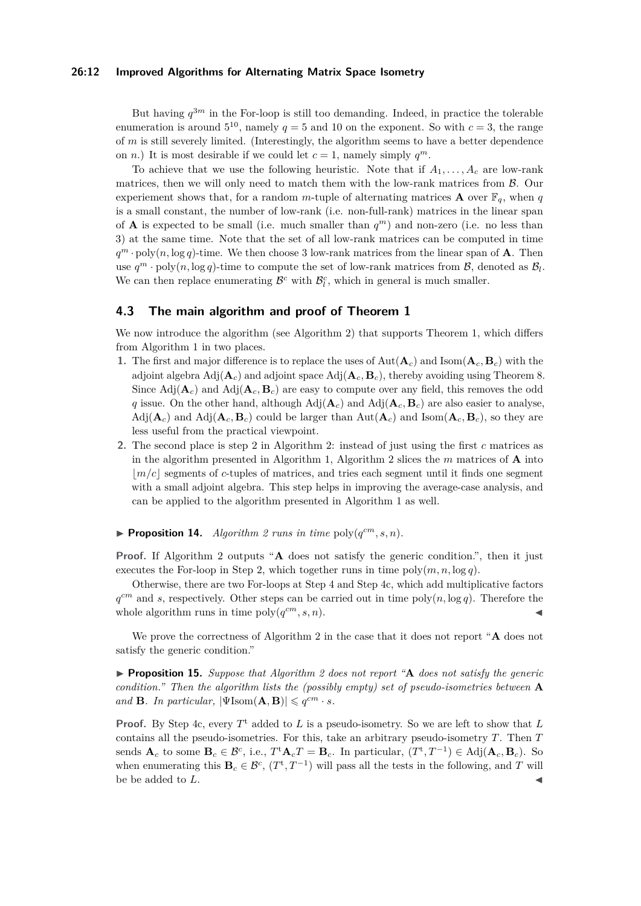#### **26:12 Improved Algorithms for Alternating Matrix Space Isometry**

But having  $q^{3m}$  in the For-loop is still too demanding. Indeed, in practice the tolerable enumeration is around  $5^{10}$ , namely  $q = 5$  and 10 on the exponent. So with  $c = 3$ , the range of *m* is still severely limited. (Interestingly, the algorithm seems to have a better dependence on *n*.) It is most desirable if we could let  $c = 1$ , namely simply  $q^m$ .

To achieve that we use the following heuristic. Note that if  $A_1, \ldots, A_c$  are low-rank matrices, then we will only need to match them with the low-rank matrices from B. Our experiement shows that, for a random *m*-tuple of alternating matrices **A** over  $\mathbb{F}_q$ , when *q* is a small constant, the number of low-rank (i.e. non-full-rank) matrices in the linear span of **A** is expected to be small (i.e. much smaller than  $q^m$ ) and non-zero (i.e. no less than 3) at the same time. Note that the set of all low-rank matrices can be computed in time  $q^m \cdot \text{poly}(n, \log q)$ -time. We then choose 3 low-rank matrices from the linear span of **A**. Then use  $q^m \cdot \text{poly}(n, \log q)$ -time to compute the set of low-rank matrices from  $\mathcal{B}$ , denoted as  $\mathcal{B}_l$ . We can then replace enumerating  $\mathcal{B}^c$  with  $\mathcal{B}_l^c$ , which in general is much smaller.

## <span id="page-11-0"></span>**4.3 The main algorithm and proof of [Theorem 1](#page-1-0)**

We now introduce the algorithm (see [Algorithm 2\)](#page-12-5) that supports [Theorem 1,](#page-1-0) which differs from [Algorithm 1](#page-10-1) in two places.

- **1.** The first and major difference is to replace the uses of  $Aut(A_c)$  and  $Isom(A_c, B_c)$  with the adjoint algebra  $\text{Adj}(\mathbf{A}_c)$  and adjoint space  $\text{Adj}(\mathbf{A}_c, \mathbf{B}_c)$ , thereby avoiding using [Theorem 8.](#page-9-1) Since  $\text{Adj}(\mathbf{A}_c)$  and  $\text{Adj}(\mathbf{A}_c, \mathbf{B}_c)$  are easy to compute over any field, this removes the odd *q* issue. On the other hand, although  $Adj(A_c)$  and  $Adj(A_c, B_c)$  are also easier to analyse,  $\text{Adj}(\mathbf{A}_c)$  and  $\text{Adj}(\mathbf{A}_c, \mathbf{B}_c)$  could be larger than  $\text{Aut}(\mathbf{A}_c)$  and  $\text{Isom}(\mathbf{A}_c, \mathbf{B}_c)$ , so they are less useful from the practical viewpoint.
- **2.** The second place is step [2](#page-12-6) in [Algorithm 2:](#page-12-5) instead of just using the first *c* matrices as in the algorithm presented in [Algorithm 1,](#page-10-1) [Algorithm 2](#page-12-5) slices the *m* matrices of **A** into  $\lfloor m/c \rfloor$  segments of *c*-tuples of matrices, and tries each segment until it finds one segment with a small adjoint algebra. This step helps in improving the average-case analysis, and can be applied to the algorithm presented in [Algorithm 1](#page-10-1) as well.

## <span id="page-11-1"></span>**Proposition 14.** *[Algorithm 2](#page-12-5) runs in time*  $\text{poly}(q^{cm}, s, n)$ *.*

**Proof.** If [Algorithm 2](#page-12-5) outputs "**A** does not satisfy the generic condition.", then it just executes the For-loop in Step [2,](#page-12-6) which together runs in time  $poly(m, n, \log q)$ .

Otherwise, there are two For-loops at Step [4](#page-12-7) and Step [4c,](#page-12-8) which add multiplicative factors  $q^{cm}$  and *s*, respectively. Other steps can be carried out in time poly $(n, \log q)$ . Therefore the whole algorithm runs in time  $poly(q^{cm}, s, n)$ .

We prove the correctness of [Algorithm 2](#page-12-5) in the case that it does not report "**A** does not satisfy the generic condition."

▶ **Proposition 15.** *Suppose that [Algorithm 2](#page-12-5) does not report* "**A** *does not satisfy the generic condition." Then the algorithm lists the (possibly empty) set of pseudo-isometries between* **A** *and* **B***. In particular,*  $|\Psi(\text{Isom}(\mathbf{A}, \mathbf{B}))| \leqslant q^{cm} \cdot s$ *.* 

**Proof.** By Step [4c,](#page-12-8) every  $T^t$  added to  $L$  is a pseudo-isometry. So we are left to show that  $L$ contains all the pseudo-isometries. For this, take an arbitrary pseudo-isometry *T*. Then *T* sends  $\mathbf{A}_c$  to some  $\mathbf{B}_c \in \mathcal{B}^c$ , i.e.,  $T^{\mathrm{t}} \mathbf{A}_c T = \mathbf{B}_c$ . In particular,  $(T^{\mathrm{t}}, T^{-1}) \in \mathrm{Adj}(\mathbf{A}_c, \mathbf{B}_c)$ . So when enumerating this  $\mathbf{B}_c \in \mathcal{B}^c$ ,  $(T^{\rm t}, T^{-1})$  will pass all the tests in the following, and *T* will be be added to L.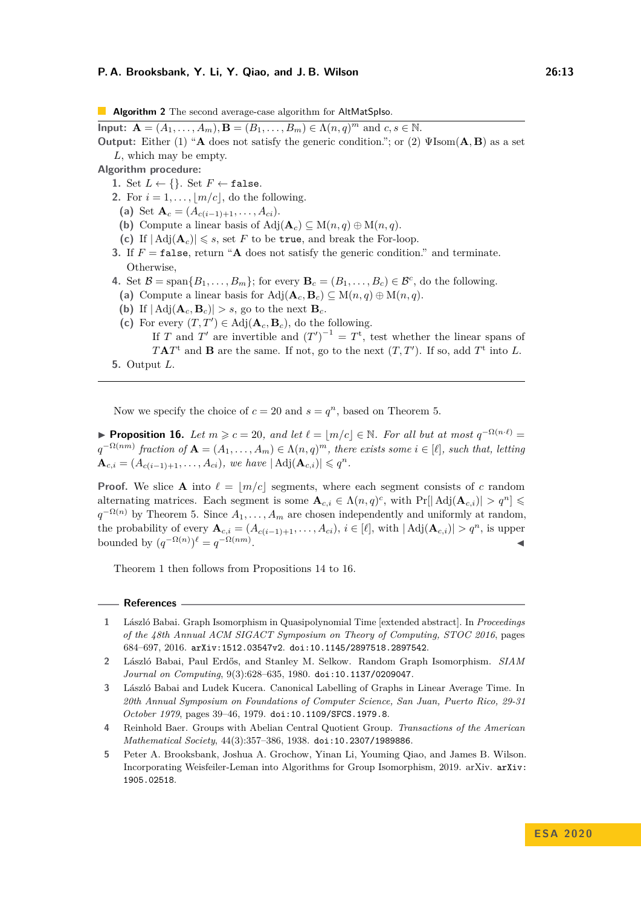<span id="page-12-5"></span>**Algorithm 2** The second average-case algorithm for AltMatSpIso.

**Input:**  $A = (A_1, ..., A_m), B = (B_1, ..., B_m) \in \Lambda(n, q)^m$  and  $c, s \in \mathbb{N}$ . **Output:** Either (1) "**A** does not satisfy the generic condition."; or (2) ΨIsom(**A***,* **B**) as a set *L*, which may be empty.

**Algorithm procedure:**

- 1. Set  $L \leftarrow \{\}$ . Set  $F \leftarrow \texttt{false}$ .
- <span id="page-12-6"></span>**2.** For  $i = 1, \ldots, |m/c|$ , do the following.
	- (a) Set  $\mathbf{A}_c = (A_{c(i-1)+1}, \ldots, A_{ci}).$
	- **(b)** Compute a linear basis of Adj $(\mathbf{A}_c) \subseteq M(n,q) \oplus M(n,q)$ .
	- (c) If  $| \operatorname{Adj}(\mathbf{A}_c)| \leq s$ , set *F* to be true, and break the For-loop.
- **3.** If  $F = \text{false}$ , return "**A** does not satisfy the generic condition." and terminate. Otherwise,
- <span id="page-12-7"></span>**4.** Set  $\mathcal{B} = \text{span}\{B_1, \ldots, B_m\}$ ; for every  $\mathbf{B}_c = (B_1, \ldots, B_c) \in \mathcal{B}^c$ , do the following. (a) Compute a linear basis for  $\text{Adj}(\mathbf{A}_c, \mathbf{B}_c) \subseteq \text{M}(n, q) \oplus \text{M}(n, q)$ .
- (b) If  $| \text{Adj}(\mathbf{A}_c, \mathbf{B}_c) | > s$ , go to the next  $\mathbf{B}_c$ .
- <span id="page-12-8"></span>(c) For every  $(T, T') \in Adj(\mathbf{A}_c, \mathbf{B}_c)$ , do the following. If *T* and *T*' are invertible and  $(T')^{-1} = T^{\rm t}$ , test whether the linear spans of  $TAT^t$  and **B** are the same. If not, go to the next  $(T, T')$ . If so, add  $T^t$  into *L*.
- **5.** Output *L*.

Now we specify the choice of  $c = 20$  and  $s = q^n$ , based on [Theorem 5.](#page-8-1)

<span id="page-12-9"></span>**► Proposition 16.** *Let*  $m \ge c = 20$ , and let  $\ell = \lfloor m/c \rfloor \in \mathbb{N}$ . For all but at most  $q^{-\Omega(n \cdot \ell)}$  $q^{-\Omega(nm)}$  fraction of  $A = (A_1, \ldots, A_m) \in \Lambda(n,q)^m$ , there exists some  $i \in [\ell]$ , such that, letting  ${\bf A}_{c,i} = (A_{c(i-1)+1}, \ldots, A_{ci}),$  we have  $| \text{Adj}({\bf A}_{c,i}) | \leqslant q^n$ .

**Proof.** We slice **A** into  $\ell = \lfloor m/c \rfloor$  segments, where each segment consists of *c* random alternating matrices. Each segment is some  $\mathbf{A}_{c,i} \in \Lambda(n,q)^c$ , with  $\Pr[\mathrm{Adj}(\mathbf{A}_{c,i})] > q^n] \leq$  $q^{-\Omega(n)}$  by [Theorem 5.](#page-8-1) Since  $A_1, \ldots, A_m$  are chosen independently and uniformly at random, the probability of every  $\mathbf{A}_{c,i} = (A_{c(i-1)+1}, \ldots, A_{ci}), i \in [\ell],$  with  $|Adj(\mathbf{A}_{c,i})| > q^n$ , is upper bounded by  $(q^{-\Omega(n)})^{\ell} = q^{-\Omega(nm)}$ . John Stein Stein Stein Stein Stein Stein Stein Stein Stein Stein Stein Stein Stein Stein Stein Stein Stein S<br>John Stein Stein Stein Stein Stein Stein Stein Stein Stein Stein Stein Stein Stein Stein Stein Stein Stein Ste

[Theorem 1](#page-1-0) then follows from Propositions [14](#page-11-1) to [16.](#page-12-9)

#### **References**

- <span id="page-12-3"></span>**1** László Babai. Graph Isomorphism in Quasipolynomial Time [extended abstract]. In *Proceedings of the 48th Annual ACM SIGACT Symposium on Theory of Computing, STOC 2016*, pages 684–697, 2016. [arXiv:1512.03547v2](https://arxiv.org/abs/1512.03547v2). [doi:10.1145/2897518.2897542](https://doi.org/10.1145/2897518.2897542).
- <span id="page-12-1"></span>**2** László Babai, Paul Erdős, and Stanley M. Selkow. Random Graph Isomorphism. *SIAM Journal on Computing*, 9(3):628–635, 1980. [doi:10.1137/0209047](https://doi.org/10.1137/0209047).
- <span id="page-12-2"></span>**3** László Babai and Ludek Kucera. Canonical Labelling of Graphs in Linear Average Time. In *20th Annual Symposium on Foundations of Computer Science, San Juan, Puerto Rico, 29-31 October 1979*, pages 39–46, 1979. [doi:10.1109/SFCS.1979.8](https://doi.org/10.1109/SFCS.1979.8).
- <span id="page-12-4"></span>**4** Reinhold Baer. Groups with Abelian Central Quotient Group. *Transactions of the American Mathematical Society*, 44(3):357–386, 1938. [doi:10.2307/1989886](https://doi.org/10.2307/1989886).
- <span id="page-12-0"></span>**5** Peter A. Brooksbank, Joshua A. Grochow, Yinan Li, Youming Qiao, and James B. Wilson. Incorporating Weisfeiler-Leman into Algorithms for Group Isomorphism, 2019. arXiv. [arXiv:](http://arxiv.org/abs/1905.02518) [1905.02518](http://arxiv.org/abs/1905.02518).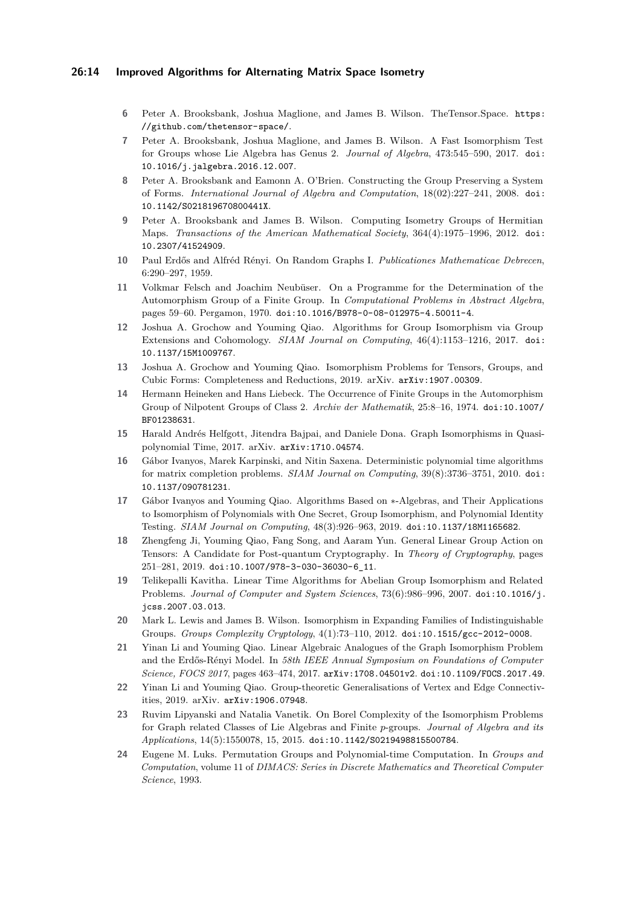## **26:14 Improved Algorithms for Alternating Matrix Space Isometry**

- <span id="page-13-2"></span>**6** Peter A. Brooksbank, Joshua Maglione, and James B. Wilson. TheTensor.Space. [https:](https://github.com/thetensor-space/) [//github.com/thetensor-space/](https://github.com/thetensor-space/).
- <span id="page-13-13"></span>**7** Peter A. Brooksbank, Joshua Maglione, and James B. Wilson. A Fast Isomorphism Test for Groups whose Lie Algebra has Genus 2. *Journal of Algebra*, 473:545–590, 2017. [doi:](https://doi.org/10.1016/j.jalgebra.2016.12.007) [10.1016/j.jalgebra.2016.12.007](https://doi.org/10.1016/j.jalgebra.2016.12.007).
- <span id="page-13-17"></span>**8** Peter A. Brooksbank and Eamonn A. O'Brien. Constructing the Group Preserving a System of Forms. *International Journal of Algebra and Computation*, 18(02):227–241, 2008. [doi:](https://doi.org/10.1142/S021819670800441X) [10.1142/S021819670800441X](https://doi.org/10.1142/S021819670800441X).
- <span id="page-13-12"></span>**9** Peter A. Brooksbank and James B. Wilson. Computing Isometry Groups of Hermitian Maps. *Transactions of the American Mathematical Society*, 364(4):1975–1996, 2012. [doi:](https://doi.org/10.2307/41524909) [10.2307/41524909](https://doi.org/10.2307/41524909).
- <span id="page-13-1"></span>**10** Paul Erdős and Alfréd Rényi. On Random Graphs I. *Publicationes Mathematicae Debrecen*, 6:290–297, 1959.
- <span id="page-13-7"></span>**11** Volkmar Felsch and Joachim Neubüser. On a Programme for the Determination of the Automorphism Group of a Finite Group. In *Computational Problems in Abstract Algebra*, pages 59–60. Pergamon, 1970. [doi:10.1016/B978-0-08-012975-4.50011-4](https://doi.org/10.1016/B978-0-08-012975-4.50011-4).
- <span id="page-13-9"></span>**12** Joshua A. Grochow and Youming Qiao. Algorithms for Group Isomorphism via Group Extensions and Cohomology. *SIAM Journal on Computing*, 46(4):1153–1216, 2017. [doi:](https://doi.org/10.1137/15M1009767) [10.1137/15M1009767](https://doi.org/10.1137/15M1009767).
- <span id="page-13-6"></span>**13** Joshua A. Grochow and Youming Qiao. Isomorphism Problems for Tensors, Groups, and Cubic Forms: Completeness and Reductions, 2019. arXiv. [arXiv:1907.00309](http://arxiv.org/abs/1907.00309).
- <span id="page-13-4"></span>**14** Hermann Heineken and Hans Liebeck. The Occurrence of Finite Groups in the Automorphism Group of Nilpotent Groups of Class 2. *Archiv der Mathematik*, 25:8–16, 1974. [doi:10.1007/](https://doi.org/10.1007/BF01238631) [BF01238631](https://doi.org/10.1007/BF01238631).
- <span id="page-13-8"></span>**15** Harald Andrés Helfgott, Jitendra Bajpai, and Daniele Dona. Graph Isomorphisms in Quasipolynomial Time, 2017. arXiv. [arXiv:1710.04574](http://arxiv.org/abs/1710.04574).
- <span id="page-13-18"></span>**16** Gábor Ivanyos, Marek Karpinski, and Nitin Saxena. Deterministic polynomial time algorithms for matrix completion problems. *SIAM Journal on Computing*, 39(8):3736–3751, 2010. [doi:](https://doi.org/10.1137/090781231) [10.1137/090781231](https://doi.org/10.1137/090781231).
- <span id="page-13-15"></span>**17** Gábor Ivanyos and Youming Qiao. Algorithms Based on ∗-Algebras, and Their Applications to Isomorphism of Polynomials with One Secret, Group Isomorphism, and Polynomial Identity Testing. *SIAM Journal on Computing*, 48(3):926–963, 2019. [doi:10.1137/18M1165682](https://doi.org/10.1137/18M1165682).
- <span id="page-13-14"></span>**18** Zhengfeng Ji, Youming Qiao, Fang Song, and Aaram Yun. General Linear Group Action on Tensors: A Candidate for Post-quantum Cryptography. In *Theory of Cryptography*, pages 251–281, 2019. [doi:10.1007/978-3-030-36030-6\\_11](https://doi.org/10.1007/978-3-030-36030-6_11).
- <span id="page-13-10"></span>**19** Telikepalli Kavitha. Linear Time Algorithms for Abelian Group Isomorphism and Related Problems. *Journal of Computer and System Sciences*, 73(6):986–996, 2007. [doi:10.1016/j.](https://doi.org/10.1016/j.jcss.2007.03.013) [jcss.2007.03.013](https://doi.org/10.1016/j.jcss.2007.03.013).
- <span id="page-13-11"></span>**20** Mark L. Lewis and James B. Wilson. Isomorphism in Expanding Families of Indistinguishable Groups. *Groups Complexity Cryptology*, 4(1):73–110, 2012. [doi:10.1515/gcc-2012-0008](https://doi.org/10.1515/gcc-2012-0008).
- <span id="page-13-0"></span>**21** Yinan Li and Youming Qiao. Linear Algebraic Analogues of the Graph Isomorphism Problem and the Erdős-Rényi Model. In *58th IEEE Annual Symposium on Foundations of Computer Science, FOCS 2017*, pages 463–474, 2017. [arXiv:1708.04501v2](https://arxiv.org/abs/1708.04501v2). [doi:10.1109/FOCS.2017.49](https://doi.org/10.1109/FOCS.2017.49).
- <span id="page-13-16"></span>**22** Yinan Li and Youming Qiao. Group-theoretic Generalisations of Vertex and Edge Connectivities, 2019. arXiv. [arXiv:1906.07948](http://arxiv.org/abs/1906.07948).
- <span id="page-13-5"></span>**23** Ruvim Lipyanski and Natalia Vanetik. On Borel Complexity of the Isomorphism Problems for Graph related Classes of Lie Algebras and Finite *p*-groups. *Journal of Algebra and its Applications*, 14(5):1550078, 15, 2015. [doi:10.1142/S0219498815500784](https://doi.org/10.1142/S0219498815500784).
- <span id="page-13-3"></span>**24** Eugene M. Luks. Permutation Groups and Polynomial-time Computation. In *Groups and Computation*, volume 11 of *DIMACS: Series in Discrete Mathematics and Theoretical Computer Science*, 1993.